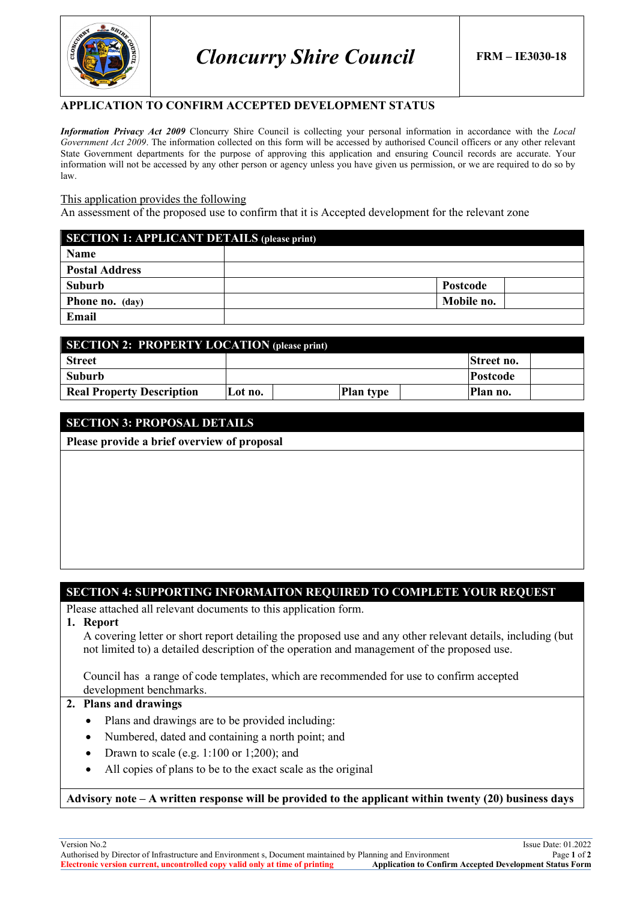

*Cloncurry Shire Council* **FRM – IE3030-18**

### **APPLICATION TO CONFIRM ACCEPTED DEVELOPMENT STATUS**

*Information Privacy Act 2009* Cloncurry Shire Council is collecting your personal information in accordance with the *Local Government Act 2009*. The information collected on this form will be accessed by authorised Council officers or any other relevant State Government departments for the purpose of approving this application and ensuring Council records are accurate. Your information will not be accessed by any other person or agency unless you have given us permission, or we are required to do so by law.

#### This application provides the following

An assessment of the proposed use to confirm that it is Accepted development for the relevant zone

| <b>SECTION 1: APPLICANT DETAILS (please print)</b> |                 |  |  |  |
|----------------------------------------------------|-----------------|--|--|--|
| <b>Name</b>                                        |                 |  |  |  |
| <b>Postal Address</b>                              |                 |  |  |  |
| Suburb                                             | <b>Postcode</b> |  |  |  |
| <b>Phone no.</b> (day)                             | Mobile no.      |  |  |  |
| Email                                              |                 |  |  |  |

| <b>SECTION 2: PROPERTY LOCATION (please print)</b> |         |                  |  |                 |  |  |
|----------------------------------------------------|---------|------------------|--|-----------------|--|--|
| <b>Street</b>                                      |         |                  |  | Street no.      |  |  |
| Suburb                                             |         |                  |  | <b>Postcode</b> |  |  |
| <b>Real Property Description</b>                   | Lot no. | <b>Plan type</b> |  | Plan no.        |  |  |

### **SECTION 3: PROPOSAL DETAILS**

**Please provide a brief overview of proposal**

## **SECTION 4: SUPPORTING INFORMAITON REQUIRED TO COMPLETE YOUR REQUEST**

Please attached all relevant documents to this application form.

#### **1. Report**

A covering letter or short report detailing the proposed use and any other relevant details, including (but not limited to) a detailed description of the operation and management of the proposed use.

Council has a range of code templates, which are recommended for use to confirm accepted

#### development benchmarks. **2. Plans and drawings**

- - Plans and drawings are to be provided including:
	- Numbered, dated and containing a north point; and
	- Drawn to scale (e.g. 1:100 or 1;200); and
	- All copies of plans to be to the exact scale as the original

**Advisory note – A written response will be provided to the applicant within twenty (20) business days**